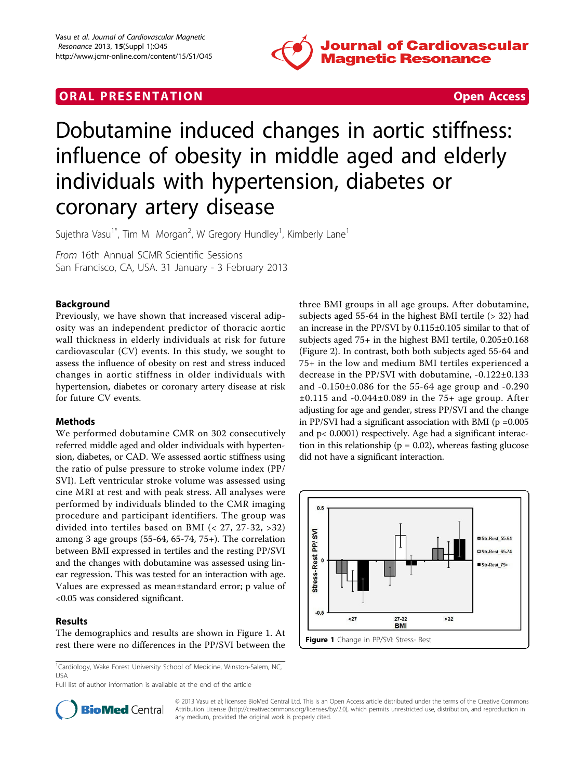





# Dobutamine induced changes in aortic stiffness: influence of obesity in middle aged and elderly individuals with hypertension, diabetes or coronary artery disease

Sujethra Vasu<sup>1\*</sup>, Tim M Morgan<sup>2</sup>, W Gregory Hundley<sup>1</sup>, Kimberly Lane<sup>1</sup>

From 16th Annual SCMR Scientific Sessions San Francisco, CA, USA. 31 January - 3 February 2013

## Background

Previously, we have shown that increased visceral adiposity was an independent predictor of thoracic aortic wall thickness in elderly individuals at risk for future cardiovascular (CV) events. In this study, we sought to assess the influence of obesity on rest and stress induced changes in aortic stiffness in older individuals with hypertension, diabetes or coronary artery disease at risk for future CV events.

## **Methods**

We performed dobutamine CMR on 302 consecutively referred middle aged and older individuals with hypertension, diabetes, or CAD. We assessed aortic stiffness using the ratio of pulse pressure to stroke volume index (PP/ SVI). Left ventricular stroke volume was assessed using cine MRI at rest and with peak stress. All analyses were performed by individuals blinded to the CMR imaging procedure and participant identifiers. The group was divided into tertiles based on BMI (< 27, 27-32, >32) among 3 age groups (55-64, 65-74, 75+). The correlation between BMI expressed in tertiles and the resting PP/SVI and the changes with dobutamine was assessed using linear regression. This was tested for an interaction with age. Values are expressed as mean±standard error; p value of <0.05 was considered significant.

## Results

The demographics and results are shown in Figure 1. At rest there were no differences in the PP/SVI between the

<sup>1</sup>Cardiology, Wake Forest University School of Medicine, Winston-Salem, NC, USA

Full list of author information is available at the end of the article

three BMI groups in all age groups. After dobutamine, subjects aged 55-64 in the highest BMI tertile (> 32) had an increase in the PP/SVI by 0.115±0.105 similar to that of subjects aged 75+ in the highest BMI tertile, 0.205±0.168 (Figure 2). In contrast, both both subjects aged 55-64 and 75+ in the low and medium BMI tertiles experienced a decrease in the PP/SVI with dobutamine, -0.122±0.133 and -0.150±0.086 for the 55-64 age group and -0.290 ±0.115 and -0.044±0.089 in the 75+ age group. After adjusting for age and gender, stress PP/SVI and the change in PP/SVI had a significant association with BMI ( $p = 0.005$ ) and p< 0.0001) respectively. Age had a significant interaction in this relationship ( $p = 0.02$ ), whereas fasting glucose did not have a significant interaction.





© 2013 Vasu et al; licensee BioMed Central Ltd. This is an Open Access article distributed under the terms of the Creative Commons Attribution License [\(http://creativecommons.org/licenses/by/2.0](http://creativecommons.org/licenses/by/2.0)), which permits unrestricted use, distribution, and reproduction in any medium, provided the original work is properly cited.